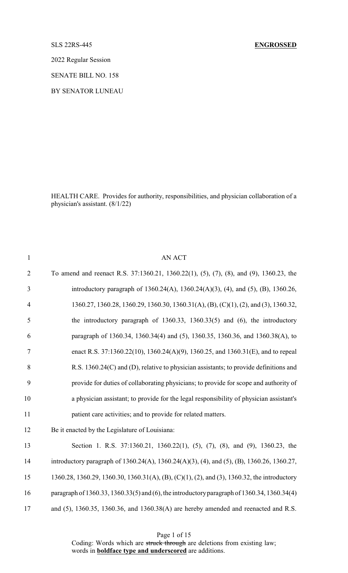# SLS 22RS-445 **ENGROSSED**

2022 Regular Session

SENATE BILL NO. 158

BY SENATOR LUNEAU

HEALTH CARE. Provides for authority, responsibilities, and physician collaboration of a physician's assistant. (8/1/22)

| $\mathbf{1}$   | <b>AN ACT</b>                                                                               |
|----------------|---------------------------------------------------------------------------------------------|
| $\overline{2}$ | To amend and reenact R.S. 37:1360.21, 1360.22(1), (5), (7), (8), and (9), 1360.23, the      |
| 3              | introductory paragraph of 1360.24(A), 1360.24(A)(3), (4), and (5), (B), 1360.26,            |
| $\overline{4}$ | 1360.27, 1360.28, 1360.29, 1360.30, 1360.31(A), (B), (C)(1), (2), and (3), 1360.32,         |
| 5              | the introductory paragraph of $1360.33$ , $1360.33(5)$ and $(6)$ , the introductory         |
| 6              | paragraph of 1360.34, 1360.34(4) and (5), 1360.35, 1360.36, and 1360.38(A), to              |
| $\tau$         | enact R.S. 37:1360.22(10), 1360.24(A)(9), 1360.25, and 1360.31(E), and to repeal            |
| 8              | R.S. 1360.24(C) and (D), relative to physician assistants; to provide definitions and       |
| 9              | provide for duties of collaborating physicians; to provide for scope and authority of       |
| 10             | a physician assistant; to provide for the legal responsibility of physician assistant's     |
| 11             | patient care activities; and to provide for related matters.                                |
| 12             | Be it enacted by the Legislature of Louisiana:                                              |
| 13             | Section 1. R.S. 37:1360.21, 1360.22(1), (5), (7), (8), and (9), 1360.23, the                |
| 14             | introductory paragraph of 1360.24(A), 1360.24(A)(3), (4), and (5), (B), 1360.26, 1360.27,   |
| 15             | 1360.28, 1360.29, 1360.30, 1360.31(A), (B), (C)(1), (2), and (3), 1360.32, the introductory |
| 16             | paragraph of 1360.33, 1360.33(5) and (6), the introductory paragraph of 1360.34, 1360.34(4) |
| 17             | and $(5)$ , 1360.35, 1360.36, and 1360.38(A) are hereby amended and reenacted and R.S.      |

Page 1 of 15

Coding: Words which are struck through are deletions from existing law; words in **boldface type and underscored** are additions.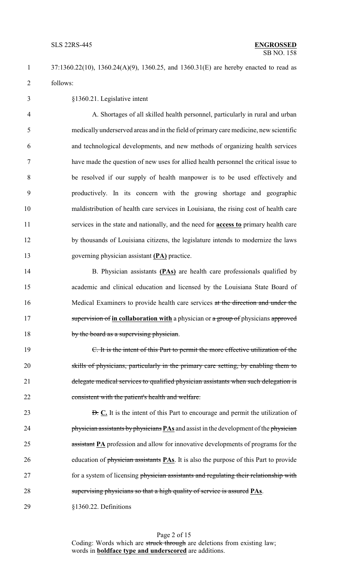37:1360.22(10), 1360.24(A)(9), 1360.25, and 1360.31(E) are hereby enacted to read as follows:

§1360.21. Legislative intent

 A. Shortages of all skilled health personnel, particularly in rural and urban medically underserved areas and in the field of primary care medicine, new scientific and technological developments, and new methods of organizing health services have made the question of new uses for allied health personnel the critical issue to be resolved if our supply of health manpower is to be used effectively and productively. In its concern with the growing shortage and geographic maldistribution of health care services in Louisiana, the rising cost of health care services in the state and nationally, and the need for **access to** primary health care by thousands of Louisiana citizens, the legislature intends to modernize the laws governing physician assistant **(PA)** practice.

 B. Physician assistants **(PAs)** are health care professionals qualified by academic and clinical education and licensed by the Louisiana State Board of Medical Examiners to provide health care services at the direction and under the 17 supervision of **in collaboration with** a physician or a group of physicians approved 18 by the board as a supervising physician.

 C. It is the intent of this Part to permit the more effective utilization of the skills of physicians, particularly in the primary care setting, by enabling them to 21 delegate medical services to qualified physician assistants when such delegation is consistent with the patient's health and welfare.

**D. C.** It is the intent of this Part to encourage and permit the utilization of physician assistants byphysicians **PAs** and assist in the development of the physician 25 assistant **PA** profession and allow for innovative developments of programs for the education of physician assistants **PAs**. It is also the purpose of this Part to provide 27 for a system of licensing physician assistants and regulating their relationship with supervising physicians so that a high quality of service is assured **PAs**.

§1360.22. Definitions

Page 2 of 15 Coding: Words which are struck through are deletions from existing law; words in **boldface type and underscored** are additions.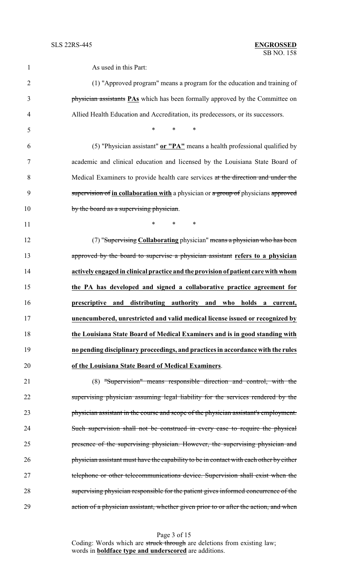| $\mathbf{1}$   | As used in this Part:                                                                   |
|----------------|-----------------------------------------------------------------------------------------|
| $\overline{2}$ | (1) "Approved program" means a program for the education and training of                |
| 3              | physician assistants <b>PAs</b> which has been formally approved by the Committee on    |
| $\overline{4}$ | Allied Health Education and Accreditation, its predecessors, or its successors.         |
| 5              | *<br>$\ast$<br>$\ast$                                                                   |
| 6              | (5) "Physician assistant" or "PA" means a health professional qualified by              |
| 7              | academic and clinical education and licensed by the Louisiana State Board of            |
| 8              | Medical Examiners to provide health care services at the direction and under the        |
| 9              | supervision of in collaboration with a physician or a group of physicians approved      |
| 10             | by the board as a supervising physician.                                                |
| 11             | $*$ $*$<br>$\ast$<br>$\ast$                                                             |
| 12             | (7) "Supervising Collaborating physician" means a physician who has been                |
| 13             | approved by the board to supervise a physician assistant refers to a physician          |
| 14             | actively engaged in clinical practice and the provision of patient care with whom       |
| 15             | the PA has developed and signed a collaborative practice agreement for                  |
| 16             | prescriptive and distributing authority and who<br>holds<br>$\mathbf{a}$<br>current,    |
| 17             | unencumbered, unrestricted and valid medical license issued or recognized by            |
| 18             | the Louisiana State Board of Medical Examiners and is in good standing with             |
| 19             | no pending disciplinary proceedings, and practices in accordance with the rules         |
| 20             | of the Louisiana State Board of Medical Examiners.                                      |
| 21             | (8) "Supervision" means responsible direction and control, with the                     |
| 22             | supervising physician assuming legal liability for the services rendered by the         |
| 23             | physician assistant in the course and scope of the physician assistant's employment.    |
| 24             | Such supervision shall not be construed in every case to require the physical           |
| 25             | presence of the supervising physician. However, the supervising physician and           |
| 26             | physician assistant must have the capability to be in contact with each other by either |
| 27             | telephone or other telecommunications device. Supervision shall exist when the          |
| 28             | supervising physician responsible for the patient gives informed concurrence of the     |
| 29             | action of a physician assistant, whether given prior to or after the action, and when   |
|                |                                                                                         |

Page 3 of 15 Coding: Words which are struck through are deletions from existing law; words in **boldface type and underscored** are additions.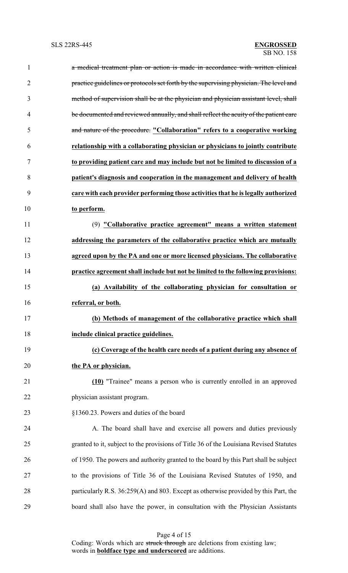| $\mathbf{1}$   | a medical treatment plan or action is made in accordance with written clinical         |
|----------------|----------------------------------------------------------------------------------------|
| $\overline{2}$ | practice guidelines or protocols set forth by the supervising physician. The level and |
| 3              | method of supervision shall be at the physician and physician assistant level, shall   |
| $\overline{4}$ | be documented and reviewed annually, and shall reflect the acuity of the patient care  |
| 5              | and nature of the procedure. "Collaboration" refers to a cooperative working           |
| 6              | relationship with a collaborating physician or physicians to jointly contribute        |
| $\tau$         | to providing patient care and may include but not be limited to discussion of a        |
| 8              | patient's diagnosis and cooperation in the management and delivery of health           |
| 9              | care with each provider performing those activities that he is legally authorized      |
| 10             | to perform.                                                                            |
| 11             | (9) "Collaborative practice agreement" means a written statement                       |
| 12             | addressing the parameters of the collaborative practice which are mutually             |
| 13             | agreed upon by the PA and one or more licensed physicians. The collaborative           |
| 14             | practice agreement shall include but not be limited to the following provisions:       |
| 15             | (a) Availability of the collaborating physician for consultation or                    |
| 16             | referral, or both.                                                                     |
| 17             | (b) Methods of management of the collaborative practice which shall                    |
| 18             | include clinical practice guidelines.                                                  |
| 19             | (c) Coverage of the health care needs of a patient during any absence of               |
| 20             | the PA or physician.                                                                   |
| 21             | (10) "Trainee" means a person who is currently enrolled in an approved                 |
| 22             | physician assistant program.                                                           |
| 23             | §1360.23. Powers and duties of the board                                               |
| 24             | A. The board shall have and exercise all powers and duties previously                  |
| 25             | granted to it, subject to the provisions of Title 36 of the Louisiana Revised Statutes |
| 26             | of 1950. The powers and authority granted to the board by this Part shall be subject   |
| 27             | to the provisions of Title 36 of the Louisiana Revised Statutes of 1950, and           |
| 28             | particularly R.S. 36:259(A) and 803. Except as otherwise provided by this Part, the    |
| 29             | board shall also have the power, in consultation with the Physician Assistants         |

Page 4 of 15 Coding: Words which are struck through are deletions from existing law; words in **boldface type and underscored** are additions.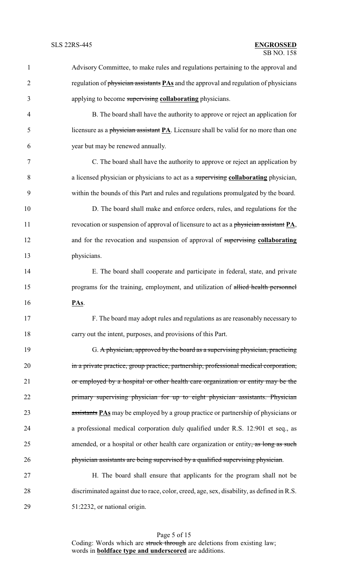| 1              | Advisory Committee, to make rules and regulations pertaining to the approval and            |
|----------------|---------------------------------------------------------------------------------------------|
| $\overline{2}$ | regulation of physician assistants <b>PAs</b> and the approval and regulation of physicians |
| 3              | applying to become supervising collaborating physicians.                                    |
| $\overline{4}$ | B. The board shall have the authority to approve or reject an application for               |
| 5              | licensure as a physician assistant $PA$ . Licensure shall be valid for no more than one     |
| 6              | year but may be renewed annually.                                                           |
| 7              | C. The board shall have the authority to approve or reject an application by                |
| 8              | a licensed physician or physicians to act as a supervising collaborating physician,         |
| 9              | within the bounds of this Part and rules and regulations promulgated by the board.          |
| 10             | D. The board shall make and enforce orders, rules, and regulations for the                  |
| 11             | revocation or suspension of approval of licensure to act as a physician assistant PA,       |
| 12             | and for the revocation and suspension of approval of supervising collaborating              |
| 13             | physicians.                                                                                 |
| 14             | E. The board shall cooperate and participate in federal, state, and private                 |
| 15             | programs for the training, employment, and utilization of allied health personnel           |
| 16             | PAs.                                                                                        |
| 17             | F. The board may adopt rules and regulations as are reasonably necessary to                 |
| 18             | carry out the intent, purposes, and provisions of this Part.                                |
| 19             | G. A physician, approved by the board as a supervising physician, practicing                |
| 20             | in a private practice, group practice, partnership, professional medical corporation,       |
| 21             | or employed by a hospital or other health care organization or entity may be the            |
| 22             | primary supervising physician for up to eight physician assistants. Physician               |
| 23             | assistants <b>PAs</b> may be employed by a group practice or partnership of physicians or   |
| 24             | a professional medical corporation duly qualified under R.S. 12:901 et seq., as             |
| 25             | amended, or a hospital or other health care organization or entity, as long as such         |
| 26             | physician assistants are being supervised by a qualified supervising physician.             |
| 27             | H. The board shall ensure that applicants for the program shall not be                      |
| 28             | discriminated against due to race, color, creed, age, sex, disability, as defined in R.S.   |
| 29             | 51:2232, or national origin.                                                                |

Page 5 of 15 Coding: Words which are struck through are deletions from existing law; words in **boldface type and underscored** are additions.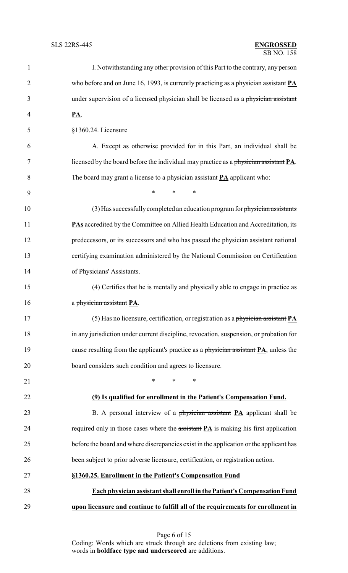## SB NO. 158 SLS 22RS-445 **ENGROSSED**

| 1              | I. Notwithstanding any other provision of this Part to the contrary, any person        |
|----------------|----------------------------------------------------------------------------------------|
| $\overline{2}$ | who before and on June 16, 1993, is currently practicing as a physician assistant PA   |
| 3              | under supervision of a licensed physician shall be licensed as a physician assistant   |
| 4              | <u>PA</u> .                                                                            |
| 5              | §1360.24. Licensure                                                                    |
| 6              | A. Except as otherwise provided for in this Part, an individual shall be               |
| 7              | licensed by the board before the individual may practice as a physician assistant PA.  |
| 8              | The board may grant a license to a physician assistant $PA$ applicant who:             |
| 9              | *<br>*<br>∗                                                                            |
| 10             | $(3)$ Has successfully completed an education program for physician assistants         |
| 11             | PAs accredited by the Committee on Allied Health Education and Accreditation, its      |
| 12             | predecessors, or its successors and who has passed the physician assistant national    |
| 13             | certifying examination administered by the National Commission on Certification        |
| 14             | of Physicians' Assistants.                                                             |
| 15             | (4) Certifies that he is mentally and physically able to engage in practice as         |
| 16             | a physician assistant PA.                                                              |
| 17             | (5) Has no licensure, certification, or registration as a physician assistant PA       |
| 18             | in any jurisdiction under current discipline, revocation, suspension, or probation for |
| 19             | cause resulting from the applicant's practice as a physician assistant PA, unless the  |
| 20             | board considers such condition and agrees to licensure.                                |
| 21             | $\ast$<br>$\ast$<br>∗                                                                  |
| 22             | (9) Is qualified for enrollment in the Patient's Compensation Fund.                    |
| 23             | B. A personal interview of a physician assistant PA applicant shall be                 |
| 24             | required only in those cases where the $\frac{1}{4}$ is making his first application   |
| 25             | before the board and where discrepancies exist in the application or the applicant has |
| 26             | been subject to prior adverse licensure, certification, or registration action.        |
| 27             | §1360.25. Enrollment in the Patient's Compensation Fund                                |
| 28             | Each physician assistant shall enroll in the Patient's Compensation Fund               |
| 29             | upon licensure and continue to fulfill all of the requirements for enrollment in       |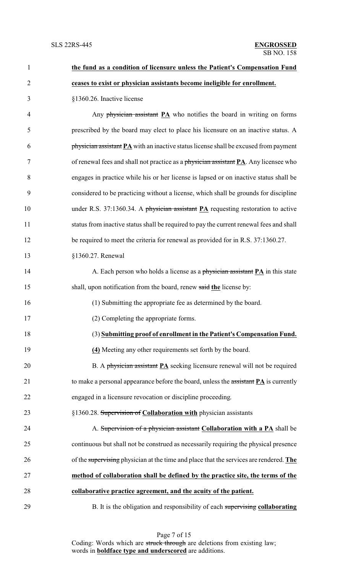| $\mathbf{1}$   | the fund as a condition of licensure unless the Patient's Compensation Fund             |
|----------------|-----------------------------------------------------------------------------------------|
| $\overline{2}$ | ceases to exist or physician assistants become ineligible for enrollment.               |
| 3              | §1360.26. Inactive license                                                              |
| $\overline{4}$ | Any physician assistant $PA$ who notifies the board in writing on forms                 |
| 5              | prescribed by the board may elect to place his licensure on an inactive status. A       |
| 6              | physician assistant PA with an inactive status license shall be excused from payment    |
| 7              | of renewal fees and shall not practice as a physician assistant PA. Any licensee who    |
| 8              | engages in practice while his or her license is lapsed or on inactive status shall be   |
| 9              | considered to be practicing without a license, which shall be grounds for discipline    |
| 10             | under R.S. 37:1360.34. A physician assistant PA requesting restoration to active        |
| 11             | status from inactive status shall be required to pay the current renewal fees and shall |
| 12             | be required to meet the criteria for renewal as provided for in R.S. 37:1360.27.        |
| 13             | §1360.27. Renewal                                                                       |
| 14             | A. Each person who holds a license as a physician assistant <b>PA</b> in this state     |
| 15             | shall, upon notification from the board, renew said the license by:                     |
| 16             | (1) Submitting the appropriate fee as determined by the board.                          |
| 17             | (2) Completing the appropriate forms.                                                   |
| 18             | (3) Submitting proof of enrollment in the Patient's Compensation Fund.                  |
| 19             | (4) Meeting any other requirements set forth by the board.                              |
| 20             | B. A physician assistant <b>PA</b> seeking licensure renewal will not be required       |
| 21             | to make a personal appearance before the board, unless the assistant PA is currently    |
| 22             | engaged in a licensure revocation or discipline proceeding.                             |
| 23             | §1360.28. Supervision of Collaboration with physician assistants                        |
| 24             | A. Supervision of a physician assistant Collaboration with a PA shall be                |
| 25             | continuous but shall not be construed as necessarily requiring the physical presence    |
| 26             | of the supervising physician at the time and place that the services are rendered. The  |
| 27             | method of collaboration shall be defined by the practice site, the terms of the         |
| 28             | collaborative practice agreement, and the acuity of the patient.                        |
| 29             | B. It is the obligation and responsibility of each supervising collaborating            |

Page 7 of 15 Coding: Words which are struck through are deletions from existing law; words in **boldface type and underscored** are additions.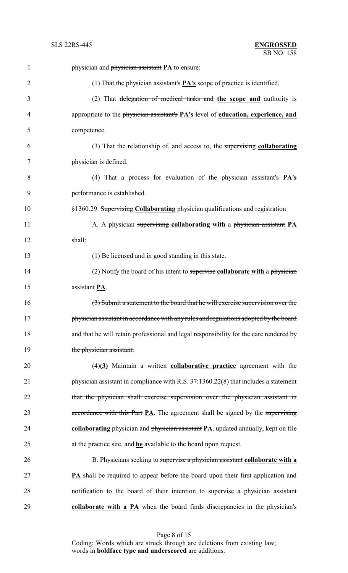| $\mathbf{1}$   | physician and <i>physician</i> assistant <b>PA</b> to ensure:                                            |
|----------------|----------------------------------------------------------------------------------------------------------|
| $\overline{2}$ | (1) That the physician assistant's $\overline{PA's}$ scope of practice is identified.                    |
| 3              | (2) That delegation of medical tasks and the scope and authority is                                      |
| 4              | appropriate to the physician assistant's <b>PA's</b> level of <b>education</b> , <b>experience</b> , and |
| 5              | competence.                                                                                              |
| 6              | $(3)$ That the relationship of, and access to, the supervising collaborating                             |
| 7              | physician is defined.                                                                                    |
| 8              | (4) That a process for evaluation of the physician assistant's PA's                                      |
| 9              | performance is established.                                                                              |
| 10             | §1360.29. Supervising Collaborating physician qualifications and registration                            |
| 11             | A. A physician supervising collaborating with a physician assistant PA                                   |
| 12             | shall:                                                                                                   |
| 13             | (1) Be licensed and in good standing in this state.                                                      |
| 14             | $(2)$ Notify the board of his intent to supervise collaborate with a physician                           |
| 15             | assistant PA.                                                                                            |
| 16             | (3) Submit a statement to the board that he will exercise supervision over the                           |
| 17             | physician assistant in accordance with any rules and regulations adopted by the board                    |
| 18             | and that he will retain professional and legal responsibility for the care rendered by                   |
| 19             | the physician assistant.                                                                                 |
| 20             | $\frac{4}{3}$ Maintain a written collaborative practice agreement with the                               |
| 21             | physician assistant in compliance with R.S. 37:1360.22(8) that includes a statement                      |
| 22             | that the physician shall exercise supervision over the physician assistant in                            |
| 23             | accordance with this Part $\mathbf{PA}$ . The agreement shall be signed by the supervising               |
| 24             | collaborating physician and physician assistant PA, updated annually, kept on file                       |
| 25             | at the practice site, and be available to the board upon request.                                        |
| 26             | B. Physicians seeking to supervise a physician assistant collaborate with a                              |
| 27             | <b>PA</b> shall be required to appear before the board upon their first application and                  |
| 28             | notification to the board of their intention to supervise a physician assistant                          |
| 29             | collaborate with a PA when the board finds discrepancies in the physician's                              |

Page 8 of 15 Coding: Words which are struck through are deletions from existing law; words in **boldface type and underscored** are additions.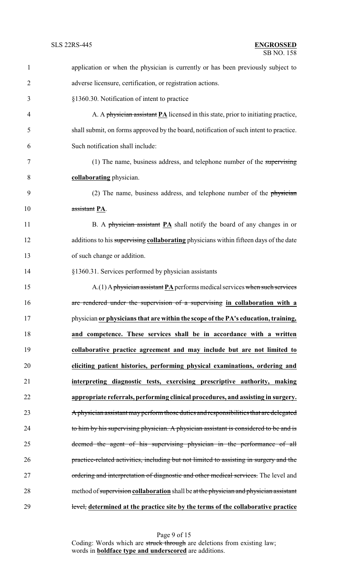| $\mathbf{1}$   | application or when the physician is currently or has been previously subject to           |
|----------------|--------------------------------------------------------------------------------------------|
| $\overline{2}$ | adverse licensure, certification, or registration actions.                                 |
| 3              | §1360.30. Notification of intent to practice                                               |
| $\overline{4}$ | A. A physician assistant $PA$ licensed in this state, prior to initiating practice,        |
| 5              | shall submit, on forms approved by the board, notification of such intent to practice.     |
| 6              | Such notification shall include:                                                           |
| $\tau$         | (1) The name, business address, and telephone number of the supervising                    |
| 8              | collaborating physician.                                                                   |
| 9              | (2) The name, business address, and telephone number of the physician                      |
| 10             | assistant PA.                                                                              |
| 11             | B. A physician assistant PA shall notify the board of any changes in or                    |
| 12             | additions to his supervising collaborating physicians within fifteen days of the date      |
| 13             | of such change or addition.                                                                |
| 14             | §1360.31. Services performed by physician assistants                                       |
| 15             | $A(1)$ A physician assistant $\underline{PA}$ performs medical services when such services |
| 16             | are rendered under the supervision of a supervising in collaboration with a                |
| 17             | physician or physicians that are within the scope of the PA's education, training,         |
| 18             | and competence. These services shall be in accordance with a written                       |
| 19             | collaborative practice agreement and may include but are not limited to                    |
| 20             | eliciting patient histories, performing physical examinations, ordering and                |
| 21             | interpreting diagnostic tests, exercising prescriptive authority, making                   |
| 22             | appropriate referrals, performing clinical procedures, and assisting in surgery.           |
| 23             | A physician assistant may perform those duties and responsibilities that are delegated     |
| 24             | to him by his supervising physician. A physician assistant is considered to be and is      |
| 25             | deemed the agent of his supervising physician in the performance of all                    |
| 26             | practice-related activities, including but not limited to assisting in surgery and the     |
| 27             | ordering and interpretation of diagnostic and other medical services. The level and        |
| 28             | method of supervision collaboration shall be at the physician and physician assistant      |
| 29             | level, determined at the practice site by the terms of the collaborative practice          |

Page 9 of 15 Coding: Words which are struck through are deletions from existing law; words in **boldface type and underscored** are additions.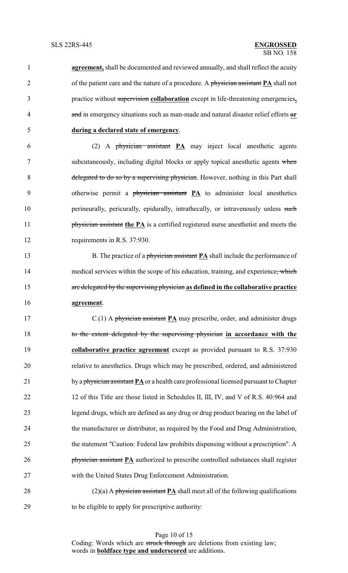**agreement,** shall be documented and reviewed annually, and shall reflect the acuity of the patient care and the nature of a procedure. A physician assistant **PA** shall not practice without supervision **collaboration** except in life-threatening emergencies**,** and in emergency situations such as man-made and natural disaster relief efforts **or during a declared state of emergency**.

 (2) A physician assistant **PA** may inject local anesthetic agents subcutaneously, including digital blocks or apply topical anesthetic agents when delegated to do so by a supervising physician. However, nothing in this Part shall otherwise permit a physician assistant **PA** to administer local anesthetics 10 perineurally, pericurally, epidurally, intrathecally, or intravenously unless such **physician assistant the PA** is a certified registered nurse anesthetist and meets the 12 requirements in R.S. 37:930.

13 B. The practice of a physician assistant **PA** shall include the performance of 14 medical services within the scope of his education, training, and experience, which are delegated by the supervising physician **as defined in the collaborative practice agreement**.

 C.(1) A physician assistant **PA** may prescribe, order, and administer drugs to the extent delegated by the supervising physician **in accordance with the collaborative practice agreement** except as provided pursuant to R.S. 37:930 relative to anesthetics. Drugs which may be prescribed, ordered, and administered 21 by a physician assistant **PA** or a health care professional licensed pursuant to Chapter 22 12 of this Title are those listed in Schedules II, III, IV, and V of R.S. 40:964 and legend drugs, which are defined as any drug or drug product bearing on the label of the manufacturer or distributor, as required by the Food and Drug Administration, the statement "Caution: Federal law prohibits dispensing without a prescription". A **physician assistant PA** authorized to prescribe controlled substances shall register with the United States Drug Enforcement Administration.

 (2)(a) A physician assistant **PA** shall meet all of the following qualifications to be eligible to apply for prescriptive authority:

> Page 10 of 15 Coding: Words which are struck through are deletions from existing law; words in **boldface type and underscored** are additions.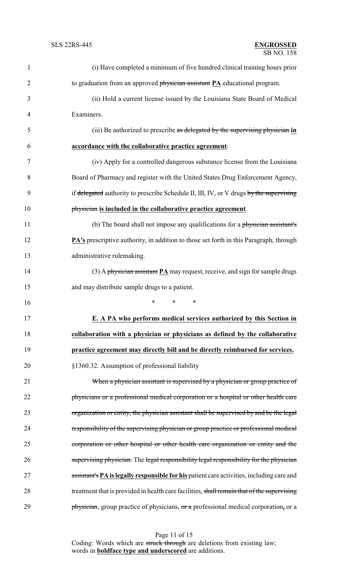| $\mathbf{1}$   | (i) Have completed a minimum of five hundred clinical training hours prior                    |
|----------------|-----------------------------------------------------------------------------------------------|
| $\overline{2}$ | to graduation from an approved physician assistant PA educational program.                    |
| 3              | (ii) Hold a current license issued by the Louisiana State Board of Medical                    |
| $\overline{4}$ | Examiners.                                                                                    |
| 5              | (iii) Be authorized to prescribe as delegated by the supervising physician in                 |
| 6              | accordance with the collaborative practice agreement.                                         |
| $\tau$         | (iv) Apply for a controlled dangerous substance license from the Louisiana                    |
| 8              | Board of Pharmacy and register with the United States Drug Enforcement Agency,                |
| 9              | if delegated authority to prescribe Schedule II, III, IV, or V drugs by the supervising       |
| 10             | physician is included in the collaborative practice agreement.                                |
| 11             | (b) The board shall not impose any qualifications for a physician assistant's                 |
| 12             | <b>PA's</b> prescriptive authority, in addition to those set forth in this Paragraph, through |
| 13             | administrative rulemaking.                                                                    |
| 14             | $(3)$ A physician assistant PA may request, receive, and sign for sample drugs                |
| 15             | and may distribute sample drugs to a patient.                                                 |
| 16             | $\ast$<br>$\ast$<br>$\ast$                                                                    |
| 17             | <b>E. A PA who performs medical services authorized by this Section in</b>                    |
| 18             | collaboration with a physician or physicians as defined by the collaborative                  |
| 19             | practice agreement may directly bill and be directly reimbursed for services.                 |
| 20             | §1360.32. Assumption of professional liability                                                |
| 21             | When a physician assistant is supervised by a physician or group practice of                  |
| 22             | physicians or a professional medical corporation or a hospital or other health care           |
| 23             | organization or entity, the physician assistant shall be supervised by and be the legal       |
| 24             | responsibility of the supervising physician or group practice or professional medical         |
| 25             | corporation or other hospital or other health care organization or entity and the             |
| 26             | supervising physician. The legal responsibility legal responsibility for the physician        |
| 27             | assistant's PA is legally responsible for his patient care activities, including care and     |
| 28             | treatment that is provided in health care facilities, shall remain that of the supervising    |
| 29             | physician, group practice of physicians, or a professional medical corporation, or a          |

Page 11 of 15

Coding: Words which are struck through are deletions from existing law; words in **boldface type and underscored** are additions.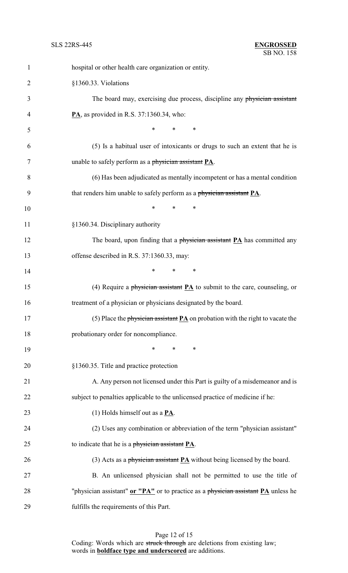| $\mathbf{1}$   | hospital or other health care organization or entity.                                     |
|----------------|-------------------------------------------------------------------------------------------|
| $\overline{2}$ | §1360.33. Violations                                                                      |
| 3              | The board may, exercising due process, discipline any physician assistant                 |
| 4              | $\mathbf{PA}$ , as provided in R.S. 37:1360.34, who:                                      |
| 5              | $\ast$<br>*<br>$\ast$                                                                     |
| 6              | (5) Is a habitual user of intoxicants or drugs to such an extent that he is               |
| 7              | unable to safely perform as a physician assistant PA.                                     |
| 8              | (6) Has been adjudicated as mentally incompetent or has a mental condition                |
| 9              | that renders him unable to safely perform as a physician assistant PA.                    |
| 10             | $\ast$<br>$\ast$<br>∗                                                                     |
| 11             | §1360.34. Disciplinary authority                                                          |
| 12             | The board, upon finding that a physician assistant <b>PA</b> has committed any            |
| 13             | offense described in R.S. 37:1360.33, may:                                                |
| 14             | *<br>$\ast$<br>∗                                                                          |
| 15             | (4) Require a physician assistant $PA$ to submit to the care, counseling, or              |
| 16             | treatment of a physician or physicians designated by the board.                           |
| 17             | (5) Place the physician assistant $\mathbf{PA}$ on probation with the right to vacate the |
| 18             | probationary order for noncompliance.                                                     |
| 19             | ∗<br>∗<br>∗                                                                               |
| 20             | §1360.35. Title and practice protection                                                   |
| 21             | A. Any person not licensed under this Part is guilty of a misdemeanor and is              |
| 22             | subject to penalties applicable to the unlicensed practice of medicine if he:             |
| 23             | (1) Holds himself out as a $\underline{PA}$ .                                             |
| 24             | (2) Uses any combination or abbreviation of the term "physician assistant"                |
| 25             | to indicate that he is a physician assistant $PA$ .                                       |
| 26             | (3) Acts as a physician assistant $PA$ without being licensed by the board.               |
| 27             | B. An unlicensed physician shall not be permitted to use the title of                     |
| 28             | "physician assistant" or "PA" or to practice as a physician assistant PA unless he        |
| 29             | fulfills the requirements of this Part.                                                   |

Page 12 of 15 Coding: Words which are struck through are deletions from existing law; words in **boldface type and underscored** are additions.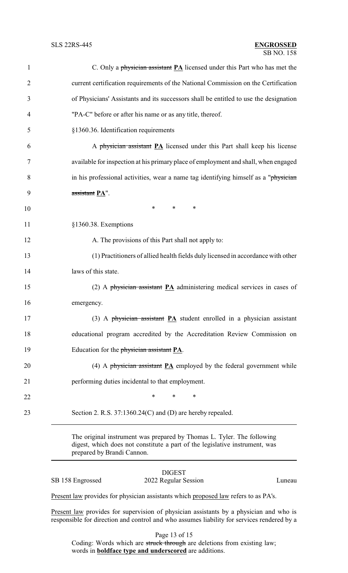| $\mathbf{1}$   | C. Only a physician assistant PA licensed under this Part who has met the             |
|----------------|---------------------------------------------------------------------------------------|
| $\overline{2}$ | current certification requirements of the National Commission on the Certification    |
| 3              | of Physicians' Assistants and its successors shall be entitled to use the designation |
| 4              | "PA-C" before or after his name or as any title, thereof.                             |
| 5              | §1360.36. Identification requirements                                                 |
| 6              | A physician assistant PA licensed under this Part shall keep his license              |
| 7              | available for inspection at his primary place of employment and shall, when engaged   |
| 8              | in his professional activities, wear a name tag identifying himself as a "physician   |
| 9              | assistant PA".                                                                        |
| 10             | $\ast$<br>$\ast$<br>∗                                                                 |
| 11             | §1360.38. Exemptions                                                                  |
| 12             | A. The provisions of this Part shall not apply to:                                    |
| 13             | (1) Practitioners of allied health fields duly licensed in accordance with other      |
| 14             | laws of this state.                                                                   |
| 15             | (2) A physician assistant $\overline{PA}$ administering medical services in cases of  |
| 16             | emergency.                                                                            |
| 17             | (3) A physician assistant PA student enrolled in a physician assistant                |
| 18             | educational program accredited by the Accreditation Review Commission on              |
| 19             | Education for the physician assistant PA.                                             |
| 20             | (4) A physician assistant $\underline{PA}$ employed by the federal government while   |
| 21             | performing duties incidental to that employment.                                      |
| 22             | ∗<br>*<br>∗                                                                           |
| 23             | Section 2. R.S. 37:1360.24(C) and (D) are hereby repealed.                            |
|                |                                                                                       |

The original instrument was prepared by Thomas L. Tyler. The following digest, which does not constitute a part of the legislative instrument, was prepared by Brandi Cannon.

### DIGEST SB 158 Engrossed 2022 Regular Session Luneau

Present law provides for physician assistants which proposed law refers to as PA's.

Present law provides for supervision of physician assistants by a physician and who is responsible for direction and control and who assumes liability for services rendered by a

Page 13 of 15

Coding: Words which are struck through are deletions from existing law; words in **boldface type and underscored** are additions.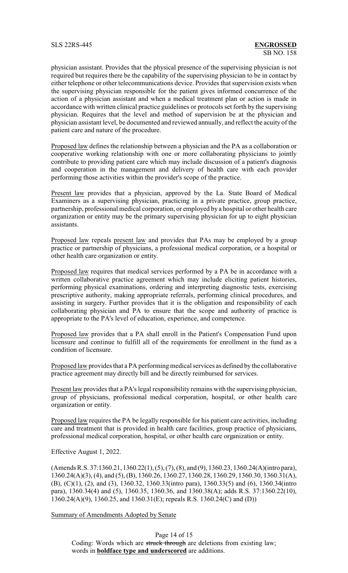physician assistant. Provides that the physical presence of the supervising physician is not required but requires there be the capability of the supervising physician to be in contact by either telephone or other telecommunications device. Provides that supervision exists when the supervising physician responsible for the patient gives informed concurrence of the action of a physician assistant and when a medical treatment plan or action is made in accordance with written clinical practice guidelines or protocols set forth by the supervising physician. Requires that the level and method of supervision be at the physician and physician assistant level, be documented and reviewed annually, and reflect the acuity of the patient care and nature of the procedure.

Proposed law defines the relationship between a physician and the PA as a collaboration or cooperative working relationship with one or more collaborating physicians to jointly contribute to providing patient care which may include discussion of a patient's diagnosis and cooperation in the management and delivery of health care with each provider performing those activities within the provider's scope of the practice.

Present law provides that a physician, approved by the La. State Board of Medical Examiners as a supervising physician, practicing in a private practice, group practice, partnership, professional medical corporation, or employed by a hospital or other health care organization or entity may be the primary supervising physician for up to eight physician assistants.

Proposed law repeals present law and provides that PAs may be employed by a group practice or partnership of physicians, a professional medical corporation, or a hospital or other health care organization or entity.

Proposed law requires that medical services performed by a PA be in accordance with a written collaborative practice agreement which may include eliciting patient histories, performing physical examinations, ordering and interpreting diagnostic tests, exercising prescriptive authority, making appropriate referrals, performing clinical procedures, and assisting in surgery. Further provides that it is the obligation and responsibility of each collaborating physician and PA to ensure that the scope and authority of practice is appropriate to the PA's level of education, experience, and competence.

Proposed law provides that a PA shall enroll in the Patient's Compensation Fund upon licensure and continue to fulfill all of the requirements for enrollment in the fund as a condition of licensure.

Proposed law provides that a PA performing medical services as defined by the collaborative practice agreement may directly bill and be directly reimbursed for services.

Present law provides that a PA's legal responsibility remains with the supervising physician, group of physicians, professional medical corporation, hospital, or other health care organization or entity.

Proposed law requires the PA be legally responsible for his patient care activities, including care and treatment that is provided in health care facilities, group practice of physicians, professional medical corporation, hospital, or other health care organization or entity.

Effective August 1, 2022.

(Amends R.S. 37:1360.21, 1360.22(1), (5), (7), (8), and (9), 1360.23, 1360.24(A)(intro para), 1360.24(A)(3), (4), and (5), (B), 1360.26, 1360.27, 1360.28, 1360.29, 1360.30, 1360.31(A), (B), (C)(1), (2), and (3), 1360.32, 1360.33(intro para), 1360.33(5) and (6), 1360.34(intro para), 1360.34(4) and (5), 1360.35, 1360.36, and 1360.38(A); adds R.S. 37:1360.22(10), 1360.24(A)(9), 1360.25, and 1360.31(E); repeals R.S. 1360.24(C) and (D))

Summary of Amendments Adopted by Senate

Page 14 of 15 Coding: Words which are struck through are deletions from existing law; words in **boldface type and underscored** are additions.